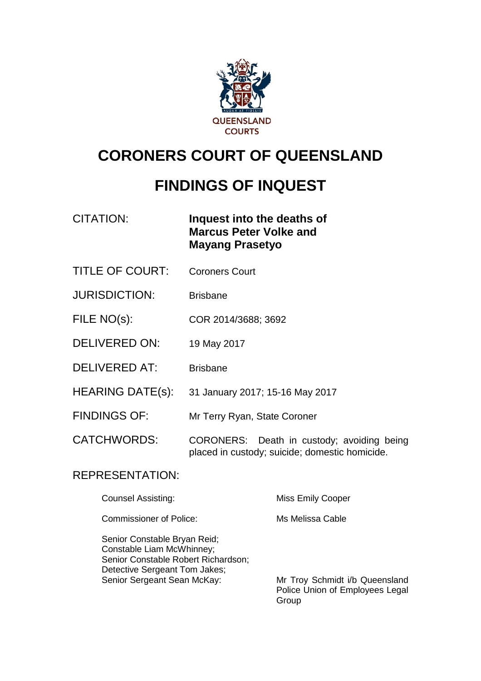

# **CORONERS COURT OF QUEENSLAND**

# **FINDINGS OF INQUEST**

CITATION: **Inquest into the deaths of Marcus Peter Volke and Mayang Prasetyo**

- TITLE OF COURT: Coroners Court
- JURISDICTION: Brisbane
- FILE NO(s): COR 2014/3688; 3692
- DELIVERED ON: 19 May 2017
- DELIVERED AT: Brisbane
- HEARING DATE(s): 31 January 2017; 15-16 May 2017
- FINDINGS OF: Mr Terry Ryan, State Coroner

CATCHWORDS: CORONERS: Death in custody; avoiding being placed in custody; suicide; domestic homicide.

### REPRESENTATION:

| Counsel Assisting:             | <b>Miss Emily Cooper</b> |
|--------------------------------|--------------------------|
| <b>Commissioner of Police:</b> | Ms Melissa Cable         |

Senior Constable Bryan Reid; Constable Liam McWhinney; Senior Constable Robert Richardson; Detective Sergeant Tom Jakes;<br>Senior Sergeant Sean McKay:

Mr Troy Schmidt i/b Queensland Police Union of Employees Legal Group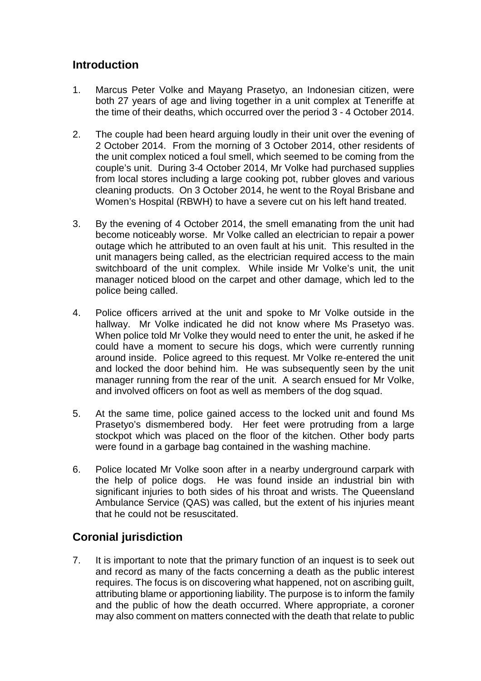### **Introduction**

- 1. Marcus Peter Volke and Mayang Prasetyo, an Indonesian citizen, were both 27 years of age and living together in a unit complex at Teneriffe at the time of their deaths, which occurred over the period 3 - 4 October 2014.
- 2. The couple had been heard arguing loudly in their unit over the evening of 2 October 2014. From the morning of 3 October 2014, other residents of the unit complex noticed a foul smell, which seemed to be coming from the couple's unit. During 3-4 October 2014, Mr Volke had purchased supplies from local stores including a large cooking pot, rubber gloves and various cleaning products. On 3 October 2014, he went to the Royal Brisbane and Women's Hospital (RBWH) to have a severe cut on his left hand treated.
- 3. By the evening of 4 October 2014, the smell emanating from the unit had become noticeably worse. Mr Volke called an electrician to repair a power outage which he attributed to an oven fault at his unit. This resulted in the unit managers being called, as the electrician required access to the main switchboard of the unit complex. While inside Mr Volke's unit, the unit manager noticed blood on the carpet and other damage, which led to the police being called.
- 4. Police officers arrived at the unit and spoke to Mr Volke outside in the hallway. Mr Volke indicated he did not know where Ms Prasetyo was. When police told Mr Volke they would need to enter the unit, he asked if he could have a moment to secure his dogs, which were currently running around inside. Police agreed to this request. Mr Volke re-entered the unit and locked the door behind him. He was subsequently seen by the unit manager running from the rear of the unit. A search ensued for Mr Volke, and involved officers on foot as well as members of the dog squad.
- 5. At the same time, police gained access to the locked unit and found Ms Prasetyo's dismembered body. Her feet were protruding from a large stockpot which was placed on the floor of the kitchen. Other body parts were found in a garbage bag contained in the washing machine.
- 6. Police located Mr Volke soon after in a nearby underground carpark with the help of police dogs. He was found inside an industrial bin with significant injuries to both sides of his throat and wrists. The Queensland Ambulance Service (QAS) was called, but the extent of his injuries meant that he could not be resuscitated.

### **Coronial jurisdiction**

7. It is important to note that the primary function of an inquest is to seek out and record as many of the facts concerning a death as the public interest requires. The focus is on discovering what happened, not on ascribing guilt, attributing blame or apportioning liability. The purpose is to inform the family and the public of how the death occurred. Where appropriate, a coroner may also comment on matters connected with the death that relate to public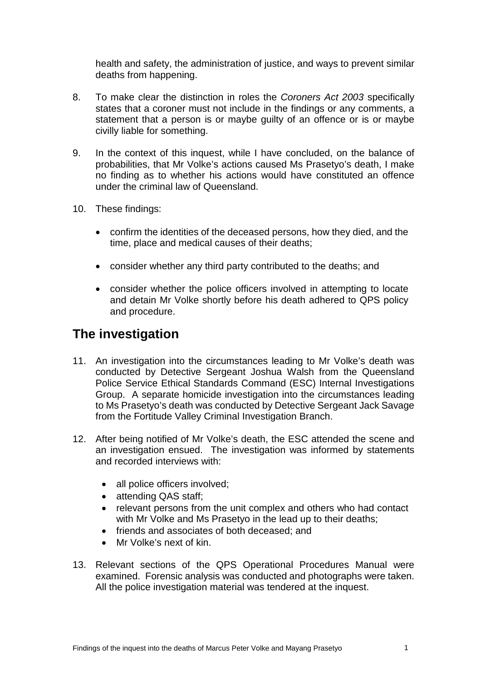health and safety, the administration of justice, and ways to prevent similar deaths from happening.

- 8. To make clear the distinction in roles the *Coroners Act 2003* specifically states that a coroner must not include in the findings or any comments, a statement that a person is or maybe guilty of an offence or is or maybe civilly liable for something.
- 9. In the context of this inquest, while I have concluded, on the balance of probabilities, that Mr Volke's actions caused Ms Prasetyo's death, I make no finding as to whether his actions would have constituted an offence under the criminal law of Queensland.
- 10. These findings:
	- confirm the identities of the deceased persons, how they died, and the time, place and medical causes of their deaths;
	- consider whether any third party contributed to the deaths; and
	- consider whether the police officers involved in attempting to locate and detain Mr Volke shortly before his death adhered to QPS policy and procedure.

## **The investigation**

- 11. An investigation into the circumstances leading to Mr Volke's death was conducted by Detective Sergeant Joshua Walsh from the Queensland Police Service Ethical Standards Command (ESC) Internal Investigations Group. A separate homicide investigation into the circumstances leading to Ms Prasetyo's death was conducted by Detective Sergeant Jack Savage from the Fortitude Valley Criminal Investigation Branch.
- 12. After being notified of Mr Volke's death, the ESC attended the scene and an investigation ensued. The investigation was informed by statements and recorded interviews with:
	- all police officers involved;
	- attending QAS staff;
	- relevant persons from the unit complex and others who had contact with Mr Volke and Ms Prasetyo in the lead up to their deaths:
	- friends and associates of both deceased; and
	- Mr Volke's next of kin.
- 13. Relevant sections of the QPS Operational Procedures Manual were examined. Forensic analysis was conducted and photographs were taken. All the police investigation material was tendered at the inquest.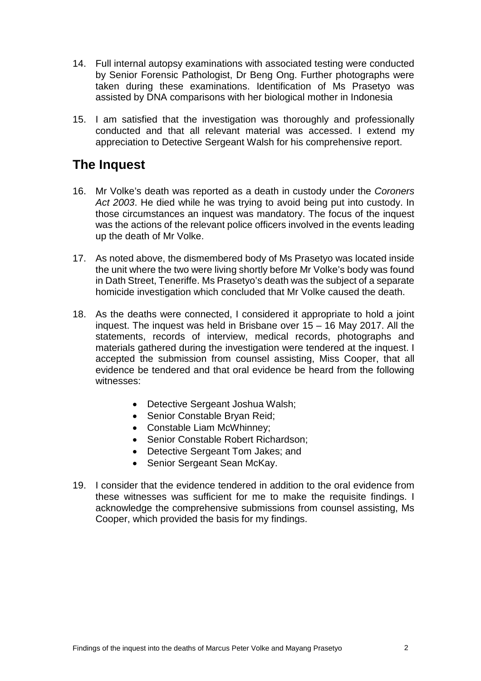- 14. Full internal autopsy examinations with associated testing were conducted by Senior Forensic Pathologist, Dr Beng Ong. Further photographs were taken during these examinations. Identification of Ms Prasetyo was assisted by DNA comparisons with her biological mother in Indonesia
- 15. I am satisfied that the investigation was thoroughly and professionally conducted and that all relevant material was accessed. I extend my appreciation to Detective Sergeant Walsh for his comprehensive report.

## **The Inquest**

- 16. Mr Volke's death was reported as a death in custody under the *Coroners Act 2003*. He died while he was trying to avoid being put into custody. In those circumstances an inquest was mandatory. The focus of the inquest was the actions of the relevant police officers involved in the events leading up the death of Mr Volke.
- 17. As noted above, the dismembered body of Ms Prasetyo was located inside the unit where the two were living shortly before Mr Volke's body was found in Dath Street, Teneriffe. Ms Prasetyo's death was the subject of a separate homicide investigation which concluded that Mr Volke caused the death.
- 18. As the deaths were connected, I considered it appropriate to hold a joint inquest. The inquest was held in Brisbane over 15 – 16 May 2017. All the statements, records of interview, medical records, photographs and materials gathered during the investigation were tendered at the inquest. I accepted the submission from counsel assisting, Miss Cooper, that all evidence be tendered and that oral evidence be heard from the following witnesses:
	- Detective Sergeant Joshua Walsh;
	- Senior Constable Bryan Reid;
	- Constable Liam McWhinney;
	- Senior Constable Robert Richardson:
	- Detective Sergeant Tom Jakes; and
	- Senior Sergeant Sean McKay.
- 19. I consider that the evidence tendered in addition to the oral evidence from these witnesses was sufficient for me to make the requisite findings. I acknowledge the comprehensive submissions from counsel assisting, Ms Cooper, which provided the basis for my findings.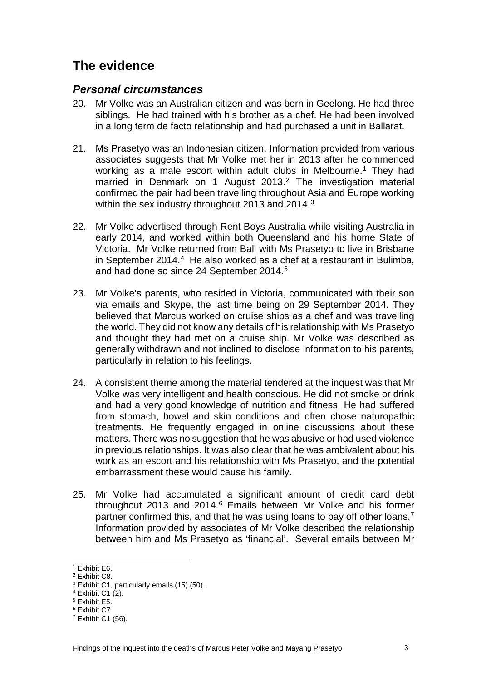# **The evidence**

#### *Personal circumstances*

- 20. Mr Volke was an Australian citizen and was born in Geelong. He had three siblings. He had trained with his brother as a chef. He had been involved in a long term de facto relationship and had purchased a unit in Ballarat.
- 21. Ms Prasetyo was an Indonesian citizen. Information provided from various associates suggests that Mr Volke met her in 2013 after he commenced working as a male escort within adult clubs in Melbourne.<sup>[1](#page-4-0)</sup> They had married in Denmark on 1 August 2013. [2](#page-4-1) The investigation material confirmed the pair had been travelling throughout Asia and Europe working within the sex industry throughout 201[3](#page-4-2) and 2014. $^3$
- 22. Mr Volke advertised through Rent Boys Australia while visiting Australia in early 2014, and worked within both Queensland and his home State of Victoria. Mr Volke returned from Bali with Ms Prasetyo to live in Brisbane in September 2014. $4$  He also worked as a chef at a restaurant in Bulimba, and had done so since 24 September 2014. [5](#page-4-4)
- 23. Mr Volke's parents, who resided in Victoria, communicated with their son via emails and Skype, the last time being on 29 September 2014. They believed that Marcus worked on cruise ships as a chef and was travelling the world. They did not know any details of his relationship with Ms Prasetyo and thought they had met on a cruise ship. Mr Volke was described as generally withdrawn and not inclined to disclose information to his parents, particularly in relation to his feelings.
- 24. A consistent theme among the material tendered at the inquest was that Mr Volke was very intelligent and health conscious. He did not smoke or drink and had a very good knowledge of nutrition and fitness. He had suffered from stomach, bowel and skin conditions and often chose naturopathic treatments. He frequently engaged in online discussions about these matters. There was no suggestion that he was abusive or had used violence in previous relationships. It was also clear that he was ambivalent about his work as an escort and his relationship with Ms Prasetyo, and the potential embarrassment these would cause his family.
- 25. Mr Volke had accumulated a significant amount of credit card debt throughout 2013 and 2014.[6](#page-4-5) Emails between Mr Volke and his former partner confirmed this, and that he was using loans to pay off other loans.<sup>7</sup> Information provided by associates of Mr Volke described the relationship between him and Ms Prasetyo as 'financial'. Several emails between Mr

 $\overline{1}$  Exhibit E6.

<span id="page-4-1"></span><span id="page-4-0"></span><sup>2</sup> Exhibit C8.

<span id="page-4-2"></span><sup>3</sup> Exhibit C1, particularly emails (15) (50).

<span id="page-4-3"></span> $4$  Exhibit C1 (2).

<span id="page-4-4"></span><sup>5</sup> Exhibit E5.

<span id="page-4-5"></span><sup>6</sup> Exhibit C7.

<span id="page-4-6"></span><sup>7</sup> Exhibit C1 (56).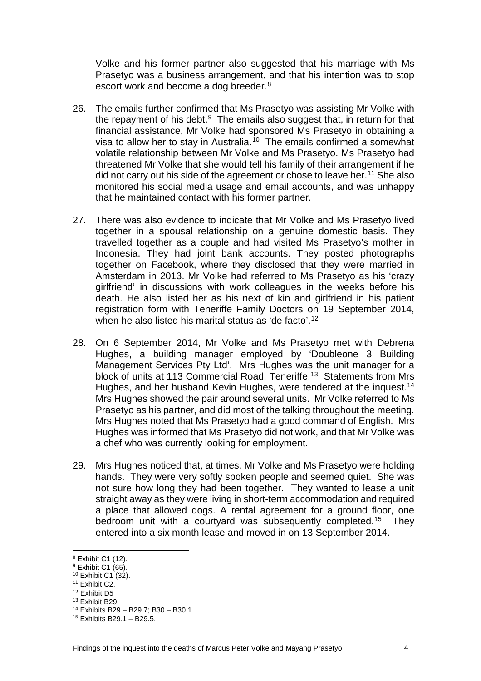Volke and his former partner also suggested that his marriage with Ms Prasetyo was a business arrangement, and that his intention was to stop escort work and become a dog breeder. [8](#page-5-0)

- 26. The emails further confirmed that Ms Prasetyo was assisting Mr Volke with the repayment of his debt. $9$  The emails also suggest that, in return for that financial assistance, Mr Volke had sponsored Ms Prasetyo in obtaining a visa to allow her to stay in Australia.<sup>[10](#page-5-2)</sup> The emails confirmed a somewhat volatile relationship between Mr Volke and Ms Prasetyo. Ms Prasetyo had threatened Mr Volke that she would tell his family of their arrangement if he did not carry out his side of the agreement or chose to leave her. [11](#page-5-3) She also monitored his social media usage and email accounts, and was unhappy that he maintained contact with his former partner.
- 27. There was also evidence to indicate that Mr Volke and Ms Prasetyo lived together in a spousal relationship on a genuine domestic basis. They travelled together as a couple and had visited Ms Prasetyo's mother in Indonesia. They had joint bank accounts. They posted photographs together on Facebook, where they disclosed that they were married in Amsterdam in 2013. Mr Volke had referred to Ms Prasetyo as his 'crazy girlfriend' in discussions with work colleagues in the weeks before his death. He also listed her as his next of kin and girlfriend in his patient registration form with Teneriffe Family Doctors on 19 September 2014, when he also listed his marital status as 'de facto'. [12](#page-5-4)
- 28. On 6 September 2014, Mr Volke and Ms Prasetyo met with Debrena Hughes, a building manager employed by 'Doubleone 3 Building Management Services Pty Ltd'. Mrs Hughes was the unit manager for a block of units at 1[13](#page-5-5) Commercial Road, Teneriffe.<sup>13</sup> Statements from Mrs Hughes, and her husband Kevin Hughes, were tendered at the inquest.<sup>14</sup> Mrs Hughes showed the pair around several units. Mr Volke referred to Ms Prasetyo as his partner, and did most of the talking throughout the meeting. Mrs Hughes noted that Ms Prasetyo had a good command of English. Mrs Hughes was informed that Ms Prasetyo did not work, and that Mr Volke was a chef who was currently looking for employment.
- 29. Mrs Hughes noticed that, at times, Mr Volke and Ms Prasetyo were holding hands. They were very softly spoken people and seemed quiet. She was not sure how long they had been together. They wanted to lease a unit straight away as they were living in short-term accommodation and required a place that allowed dogs. A rental agreement for a ground floor, one bedroom unit with a courtyard was subsequently completed.<sup>15</sup> They entered into a six month lease and moved in on 13 September 2014.

 $8$  Exhibit C1 (12).

<span id="page-5-1"></span><span id="page-5-0"></span><sup>&</sup>lt;sup>9</sup> Exhibit C1 (65).

<span id="page-5-2"></span> $10$  Exhibit C1 (32).

<span id="page-5-3"></span><sup>11</sup> Exhibit C2.

<span id="page-5-4"></span><sup>12</sup> Exhibit D5

<span id="page-5-5"></span><sup>13</sup> Exhibit B29.

<span id="page-5-6"></span><sup>14</sup> Exhibits B29 – B29.7; B30 – B30.1.

<span id="page-5-7"></span><sup>15</sup> Exhibits B29.1 – B29.5.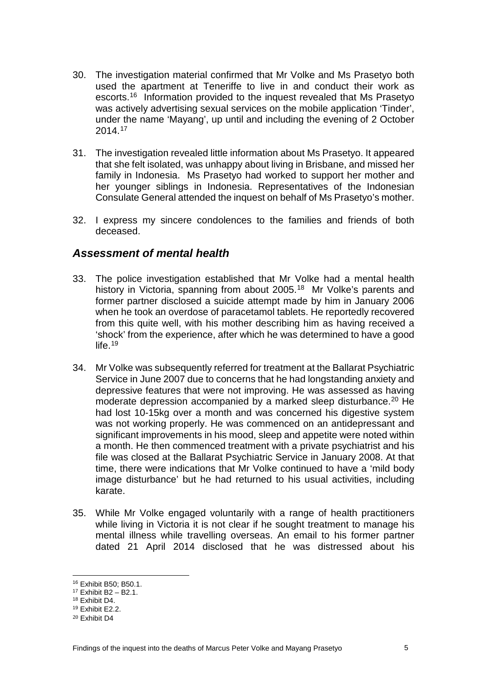- 30. The investigation material confirmed that Mr Volke and Ms Prasetyo both used the apartment at Teneriffe to live in and conduct their work as escorts.[16](#page-6-0) Information provided to the inquest revealed that Ms Prasetyo was actively advertising sexual services on the mobile application 'Tinder', under the name 'Mayang', up until and including the evening of 2 October 2014.[17](#page-6-1)
- 31. The investigation revealed little information about Ms Prasetyo. It appeared that she felt isolated, was unhappy about living in Brisbane, and missed her family in Indonesia. Ms Prasetyo had worked to support her mother and her younger siblings in Indonesia. Representatives of the Indonesian Consulate General attended the inquest on behalf of Ms Prasetyo's mother.
- 32. I express my sincere condolences to the families and friends of both deceased.

### *Assessment of mental health*

- 33. The police investigation established that Mr Volke had a mental health history in Victoria, spanning from about 2005.<sup>18</sup> Mr Volke's parents and former partner disclosed a suicide attempt made by him in January 2006 when he took an overdose of paracetamol tablets. He reportedly recovered from this quite well, with his mother describing him as having received a 'shock' from the experience, after which he was determined to have a good life. $19$
- 34. Mr Volke was subsequently referred for treatment at the Ballarat Psychiatric Service in June 2007 due to concerns that he had longstanding anxiety and depressive features that were not improving. He was assessed as having moderate depression accompanied by a marked sleep disturbance.<sup>[20](#page-6-4)</sup> He had lost 10-15kg over a month and was concerned his digestive system was not working properly. He was commenced on an antidepressant and significant improvements in his mood, sleep and appetite were noted within a month. He then commenced treatment with a private psychiatrist and his file was closed at the Ballarat Psychiatric Service in January 2008. At that time, there were indications that Mr Volke continued to have a 'mild body image disturbance' but he had returned to his usual activities, including karate.
- 35. While Mr Volke engaged voluntarily with a range of health practitioners while living in Victoria it is not clear if he sought treatment to manage his mental illness while travelling overseas. An email to his former partner dated 21 April 2014 disclosed that he was distressed about his

<sup>16</sup> Exhibit B50; B50.1.

<span id="page-6-1"></span><span id="page-6-0"></span><sup>17</sup> Exhibit B2 – B2.1.

<span id="page-6-2"></span><sup>18</sup> Exhibit D4.

<span id="page-6-3"></span><sup>19</sup> Exhibit E2.2.

<span id="page-6-4"></span><sup>20</sup> Exhibit D4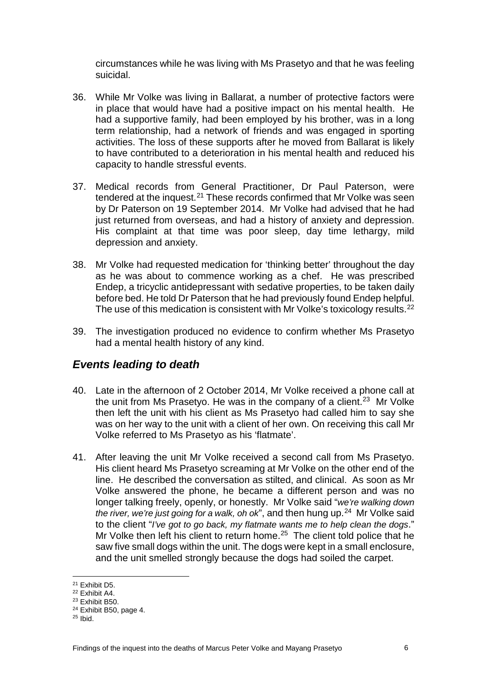circumstances while he was living with Ms Prasetyo and that he was feeling suicidal.

- 36. While Mr Volke was living in Ballarat, a number of protective factors were in place that would have had a positive impact on his mental health. He had a supportive family, had been employed by his brother, was in a long term relationship, had a network of friends and was engaged in sporting activities. The loss of these supports after he moved from Ballarat is likely to have contributed to a deterioration in his mental health and reduced his capacity to handle stressful events.
- 37. Medical records from General Practitioner, Dr Paul Paterson, were tendered at the inquest.[21](#page-7-0) These records confirmed that Mr Volke was seen by Dr Paterson on 19 September 2014. Mr Volke had advised that he had just returned from overseas, and had a history of anxiety and depression. His complaint at that time was poor sleep, day time lethargy, mild depression and anxiety.
- 38. Mr Volke had requested medication for 'thinking better' throughout the day as he was about to commence working as a chef. He was prescribed Endep, a tricyclic antidepressant with sedative properties, to be taken daily before bed. He told Dr Paterson that he had previously found Endep helpful. The use of this medication is consistent with Mr Volke's toxicology results. [22](#page-7-1)
- 39. The investigation produced no evidence to confirm whether Ms Prasetyo had a mental health history of any kind.

### *Events leading to death*

- 40. Late in the afternoon of 2 October 2014, Mr Volke received a phone call at the unit from Ms Prasetyo. He was in the company of a client.<sup>[23](#page-7-2)</sup> Mr Volke then left the unit with his client as Ms Prasetyo had called him to say she was on her way to the unit with a client of her own. On receiving this call Mr Volke referred to Ms Prasetyo as his 'flatmate'.
- 41. After leaving the unit Mr Volke received a second call from Ms Prasetyo. His client heard Ms Prasetyo screaming at Mr Volke on the other end of the line. He described the conversation as stilted, and clinical. As soon as Mr Volke answered the phone, he became a different person and was no longer talking freely, openly, or honestly. Mr Volke said "*we're walking down the river, we're just going for a walk, oh ok*", and then hung up.[24](#page-7-3) Mr Volke said to the client "*I've got to go back, my flatmate wants me to help clean the dogs*." Mr Volke then left his client to return home.<sup>[25](#page-7-4)</sup> The client told police that he saw five small dogs within the unit. The dogs were kept in a small enclosure, and the unit smelled strongly because the dogs had soiled the carpet.

<sup>21</sup> Exhibit D5.

<span id="page-7-1"></span><span id="page-7-0"></span><sup>22</sup> Exhibit A4.

<span id="page-7-2"></span><sup>23</sup> Exhibit B50.

<span id="page-7-3"></span><sup>24</sup> Exhibit B50, page 4.

<span id="page-7-4"></span> $25$  Ibid.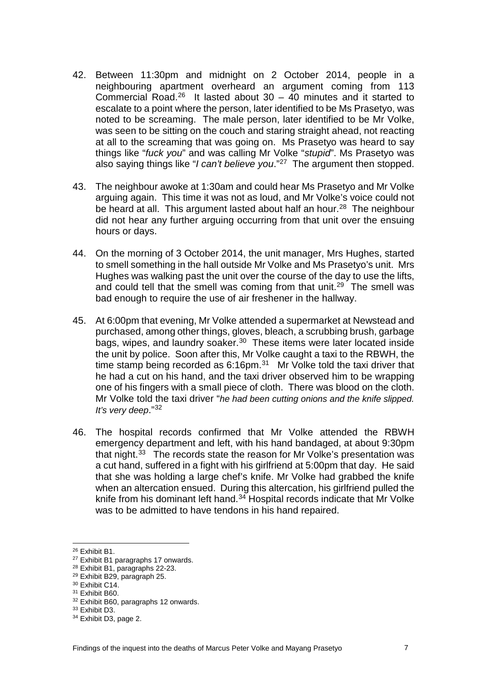- 42. Between 11:30pm and midnight on 2 October 2014, people in a neighbouring apartment overheard an argument coming from 113 Commercial Road.<sup>[26](#page-8-0)</sup> It lasted about  $30 - 40$  minutes and it started to escalate to a point where the person, later identified to be Ms Prasetyo, was noted to be screaming. The male person, later identified to be Mr Volke, was seen to be sitting on the couch and staring straight ahead, not reacting at all to the screaming that was going on. Ms Prasetyo was heard to say things like "*fuck you*" and was calling Mr Volke "*stupid*". Ms Prasetyo was also saying things like "*I can't believe you*."[27](#page-8-1) The argument then stopped.
- 43. The neighbour awoke at 1:30am and could hear Ms Prasetyo and Mr Volke arguing again. This time it was not as loud, and Mr Volke's voice could not be heard at all. This argument lasted about half an hour.<sup>28</sup> The neighbour did not hear any further arguing occurring from that unit over the ensuing hours or days.
- 44. On the morning of 3 October 2014, the unit manager, Mrs Hughes, started to smell something in the hall outside Mr Volke and Ms Prasetyo's unit. Mrs Hughes was walking past the unit over the course of the day to use the lifts, and could tell that the smell was coming from that unit.<sup>29</sup> The smell was bad enough to require the use of air freshener in the hallway.
- 45. At 6:00pm that evening, Mr Volke attended a supermarket at Newstead and purchased, among other things, gloves, bleach, a scrubbing brush, garbage bags, wipes, and laundry soaker. $30$  These items were later located inside the unit by police. Soon after this, Mr Volke caught a taxi to the RBWH, the time stamp being recorded as  $6:16$ pm.<sup>31</sup> Mr Volke told the taxi driver that he had a cut on his hand, and the taxi driver observed him to be wrapping one of his fingers with a small piece of cloth. There was blood on the cloth. Mr Volke told the taxi driver "*he had been cutting onions and the knife slipped. It's very deep*."[32](#page-8-6)
- 46. The hospital records confirmed that Mr Volke attended the RBWH emergency department and left, with his hand bandaged, at about 9:30pm that night. $33$  The records state the reason for Mr Volke's presentation was a cut hand, suffered in a fight with his girlfriend at 5:00pm that day. He said that she was holding a large chef's knife. Mr Volke had grabbed the knife when an altercation ensued. During this altercation, his girlfriend pulled the knife from his dominant left hand. [34](#page-8-8) Hospital records indicate that Mr Volke was to be admitted to have tendons in his hand repaired.

<sup>26</sup> Exhibit B1.

<span id="page-8-1"></span><span id="page-8-0"></span><sup>27</sup> Exhibit B1 paragraphs 17 onwards.

<span id="page-8-2"></span><sup>28</sup> Exhibit B1, paragraphs 22-23.

<span id="page-8-3"></span><sup>29</sup> Exhibit B29, paragraph 25.

<span id="page-8-4"></span><sup>30</sup> Exhibit C14.

<span id="page-8-5"></span><sup>31</sup> Exhibit B60.

<span id="page-8-6"></span><sup>32</sup> Exhibit B60, paragraphs 12 onwards.

<span id="page-8-7"></span><sup>33</sup> Exhibit D3.

<span id="page-8-8"></span><sup>34</sup> Exhibit D3, page 2.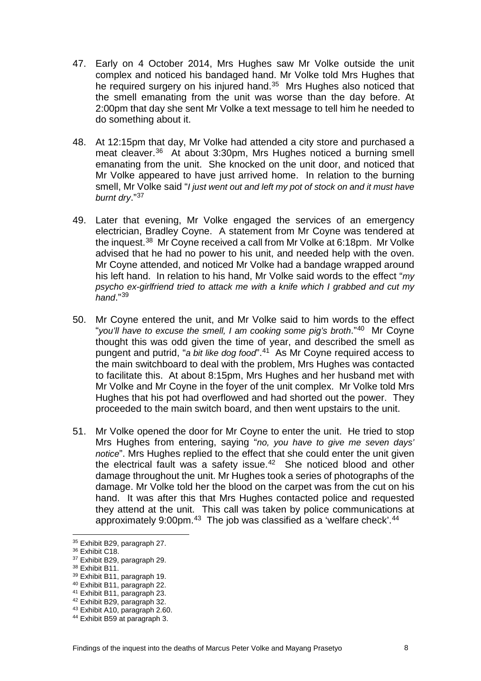- 47. Early on 4 October 2014, Mrs Hughes saw Mr Volke outside the unit complex and noticed his bandaged hand. Mr Volke told Mrs Hughes that he required surgery on his injured hand. [35](#page-9-0) Mrs Hughes also noticed that the smell emanating from the unit was worse than the day before. At 2:00pm that day she sent Mr Volke a text message to tell him he needed to do something about it.
- 48. At 12:15pm that day, Mr Volke had attended a city store and purchased a meat cleaver.<sup>[36](#page-9-1)</sup> At about 3:30pm, Mrs Hughes noticed a burning smell emanating from the unit. She knocked on the unit door, and noticed that Mr Volke appeared to have just arrived home. In relation to the burning smell, Mr Volke said "*I just went out and left my pot of stock on and it must have burnt dry*.["37](#page-9-2)
- 49. Later that evening, Mr Volke engaged the services of an emergency electrician, Bradley Coyne. A statement from Mr Coyne was tendered at the inquest.[38](#page-9-3) Mr Coyne received a call from Mr Volke at 6:18pm. Mr Volke advised that he had no power to his unit, and needed help with the oven. Mr Coyne attended, and noticed Mr Volke had a bandage wrapped around his left hand. In relation to his hand, Mr Volke said words to the effect "*my psycho ex-girlfriend tried to attack me with a knife which I grabbed and cut my hand*.["39](#page-9-4)
- 50. Mr Coyne entered the unit, and Mr Volke said to him words to the effect "*you'll have to excuse the smell, I am cooking some pig's broth*."[40](#page-9-5) Mr Coyne thought this was odd given the time of year, and described the smell as pungent and putrid, "*a bit like dog food*". [41](#page-9-6) As Mr Coyne required access to the main switchboard to deal with the problem, Mrs Hughes was contacted to facilitate this. At about 8:15pm, Mrs Hughes and her husband met with Mr Volke and Mr Coyne in the foyer of the unit complex. Mr Volke told Mrs Hughes that his pot had overflowed and had shorted out the power. They proceeded to the main switch board, and then went upstairs to the unit.
- 51. Mr Volke opened the door for Mr Coyne to enter the unit. He tried to stop Mrs Hughes from entering, saying "*no, you have to give me seven days' notice*". Mrs Hughes replied to the effect that she could enter the unit given the electrical fault was a safety issue. $42$  She noticed blood and other damage throughout the unit. Mr Hughes took a series of photographs of the damage. Mr Volke told her the blood on the carpet was from the cut on his hand. It was after this that Mrs Hughes contacted police and requested they attend at the unit. This call was taken by police communications at approximately 9:00pm.<sup>[43](#page-9-8)</sup> The job was classified as a 'welfare check'.<sup>[44](#page-9-9)</sup>

<sup>35</sup> Exhibit B29, paragraph 27.

<span id="page-9-1"></span><span id="page-9-0"></span><sup>36</sup> Exhibit C18.

<span id="page-9-2"></span><sup>37</sup> Exhibit B29, paragraph 29.

<span id="page-9-3"></span><sup>38</sup> Exhibit B11.

<span id="page-9-4"></span><sup>39</sup> Exhibit B11, paragraph 19.

<span id="page-9-5"></span><sup>40</sup> Exhibit B11, paragraph 22.

<span id="page-9-6"></span><sup>41</sup> Exhibit B11, paragraph 23.

<span id="page-9-7"></span><sup>42</sup> Exhibit B29, paragraph 32.

<span id="page-9-8"></span><sup>43</sup> Exhibit A10, paragraph 2.60.

<span id="page-9-9"></span><sup>44</sup> Exhibit B59 at paragraph 3.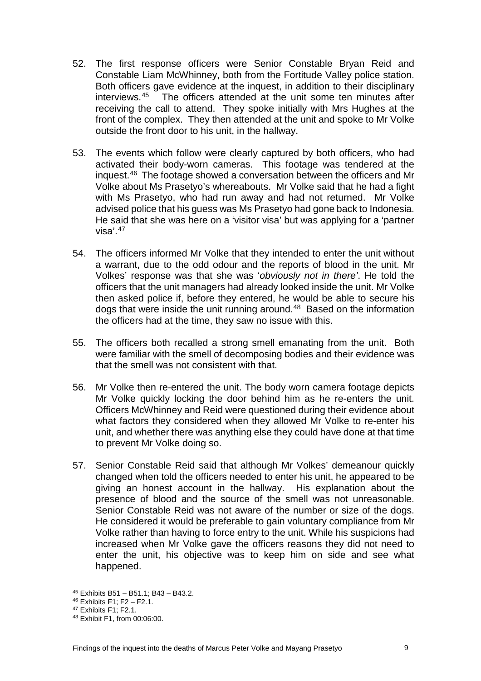- 52. The first response officers were Senior Constable Bryan Reid and Constable Liam McWhinney, both from the Fortitude Valley police station. Both officers gave evidence at the inquest, in addition to their disciplinary interviews.[45](#page-10-0) The officers attended at the unit some ten minutes after receiving the call to attend. They spoke initially with Mrs Hughes at the front of the complex. They then attended at the unit and spoke to Mr Volke outside the front door to his unit, in the hallway.
- 53. The events which follow were clearly captured by both officers, who had activated their body-worn cameras. This footage was tendered at the inquest.[46](#page-10-1) The footage showed a conversation between the officers and Mr Volke about Ms Prasetyo's whereabouts. Mr Volke said that he had a fight with Ms Prasetyo, who had run away and had not returned. Mr Volke advised police that his guess was Ms Prasetyo had gone back to Indonesia. He said that she was here on a 'visitor visa' but was applying for a 'partner visa'.[47](#page-10-2)
- 54. The officers informed Mr Volke that they intended to enter the unit without a warrant, due to the odd odour and the reports of blood in the unit. Mr Volkes' response was that she was '*obviously not in there'*. He told the officers that the unit managers had already looked inside the unit. Mr Volke then asked police if, before they entered, he would be able to secure his dogs that were inside the unit running around.[48](#page-10-3) Based on the information the officers had at the time, they saw no issue with this.
- 55. The officers both recalled a strong smell emanating from the unit. Both were familiar with the smell of decomposing bodies and their evidence was that the smell was not consistent with that.
- 56. Mr Volke then re-entered the unit. The body worn camera footage depicts Mr Volke quickly locking the door behind him as he re-enters the unit. Officers McWhinney and Reid were questioned during their evidence about what factors they considered when they allowed Mr Volke to re-enter his unit, and whether there was anything else they could have done at that time to prevent Mr Volke doing so.
- 57. Senior Constable Reid said that although Mr Volkes' demeanour quickly changed when told the officers needed to enter his unit, he appeared to be giving an honest account in the hallway. His explanation about the presence of blood and the source of the smell was not unreasonable. Senior Constable Reid was not aware of the number or size of the dogs. He considered it would be preferable to gain voluntary compliance from Mr Volke rather than having to force entry to the unit. While his suspicions had increased when Mr Volke gave the officers reasons they did not need to enter the unit, his objective was to keep him on side and see what happened.

<sup>45</sup> Exhibits B51 – B51.1; B43 – B43.2.  $\overline{\phantom{a}}$ 

<span id="page-10-1"></span><span id="page-10-0"></span><sup>46</sup> Exhibits F1; F2 – F2.1.

<span id="page-10-2"></span><sup>47</sup> Exhibits F1; F2.1.

<span id="page-10-3"></span><sup>48</sup> Exhibit F1, from 00:06:00.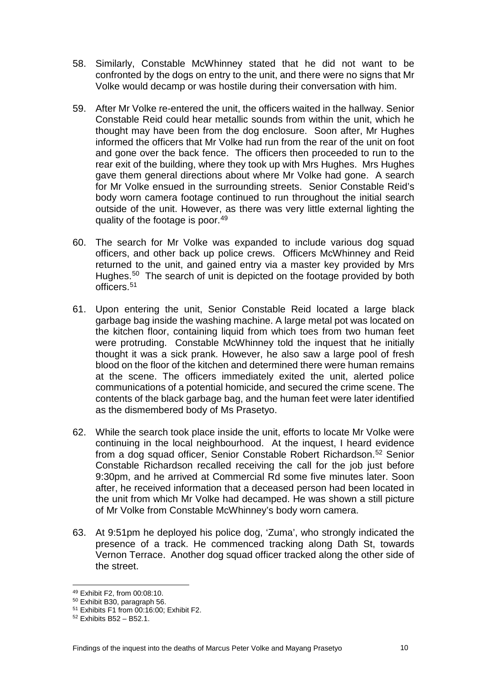- 58. Similarly, Constable McWhinney stated that he did not want to be confronted by the dogs on entry to the unit, and there were no signs that Mr Volke would decamp or was hostile during their conversation with him.
- 59. After Mr Volke re-entered the unit, the officers waited in the hallway. Senior Constable Reid could hear metallic sounds from within the unit, which he thought may have been from the dog enclosure. Soon after, Mr Hughes informed the officers that Mr Volke had run from the rear of the unit on foot and gone over the back fence. The officers then proceeded to run to the rear exit of the building, where they took up with Mrs Hughes. Mrs Hughes gave them general directions about where Mr Volke had gone. A search for Mr Volke ensued in the surrounding streets. Senior Constable Reid's body worn camera footage continued to run throughout the initial search outside of the unit. However, as there was very little external lighting the quality of the footage is poor.[49](#page-11-0)
- 60. The search for Mr Volke was expanded to include various dog squad officers, and other back up police crews. Officers McWhinney and Reid returned to the unit, and gained entry via a master key provided by Mrs Hughes.<sup>[50](#page-11-1)</sup> The search of unit is depicted on the footage provided by both officers.[51](#page-11-2)
- 61. Upon entering the unit, Senior Constable Reid located a large black garbage bag inside the washing machine. A large metal pot was located on the kitchen floor, containing liquid from which toes from two human feet were protruding. Constable McWhinney told the inquest that he initially thought it was a sick prank. However, he also saw a large pool of fresh blood on the floor of the kitchen and determined there were human remains at the scene. The officers immediately exited the unit, alerted police communications of a potential homicide, and secured the crime scene. The contents of the black garbage bag, and the human feet were later identified as the dismembered body of Ms Prasetyo.
- 62. While the search took place inside the unit, efforts to locate Mr Volke were continuing in the local neighbourhood. At the inquest, I heard evidence from a dog squad officer, Senior Constable Robert Richardson.<sup>[52](#page-11-3)</sup> Senior Constable Richardson recalled receiving the call for the job just before 9:30pm, and he arrived at Commercial Rd some five minutes later. Soon after, he received information that a deceased person had been located in the unit from which Mr Volke had decamped. He was shown a still picture of Mr Volke from Constable McWhinney's body worn camera.
- 63. At 9:51pm he deployed his police dog, 'Zuma', who strongly indicated the presence of a track. He commenced tracking along Dath St, towards Vernon Terrace. Another dog squad officer tracked along the other side of the street.

<sup>49</sup> Exhibit F2, from 00:08:10.  $\overline{\phantom{a}}$ 

<span id="page-11-1"></span><span id="page-11-0"></span><sup>50</sup> Exhibit B30, paragraph 56.

<span id="page-11-2"></span><sup>51</sup> Exhibits F1 from 00:16:00; Exhibit F2.

<span id="page-11-3"></span><sup>52</sup> Exhibits B52 – B52.1.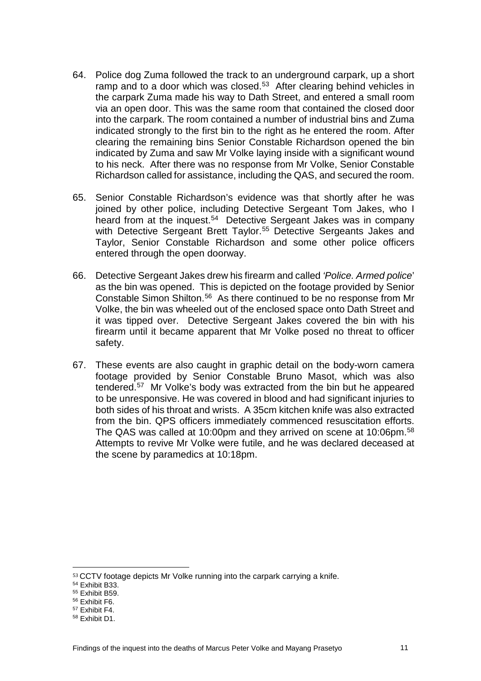- 64. Police dog Zuma followed the track to an underground carpark, up a short ramp and to a door which was closed.<sup>[53](#page-12-0)</sup> After clearing behind vehicles in the carpark Zuma made his way to Dath Street, and entered a small room via an open door. This was the same room that contained the closed door into the carpark. The room contained a number of industrial bins and Zuma indicated strongly to the first bin to the right as he entered the room. After clearing the remaining bins Senior Constable Richardson opened the bin indicated by Zuma and saw Mr Volke laying inside with a significant wound to his neck. After there was no response from Mr Volke, Senior Constable Richardson called for assistance, including the QAS, and secured the room.
- 65. Senior Constable Richardson's evidence was that shortly after he was joined by other police, including Detective Sergeant Tom Jakes, who I heard from at the inquest.<sup>[54](#page-12-1)</sup> Detective Sergeant Jakes was in company with Detective Sergeant Brett Taylor.<sup>[55](#page-12-2)</sup> Detective Sergeants Jakes and Taylor, Senior Constable Richardson and some other police officers entered through the open doorway.
- 66. Detective Sergeant Jakes drew his firearm and called *'Police. Armed police*' as the bin was opened. This is depicted on the footage provided by Senior Constable Simon Shilton.[56](#page-12-3) As there continued to be no response from Mr Volke, the bin was wheeled out of the enclosed space onto Dath Street and it was tipped over. Detective Sergeant Jakes covered the bin with his firearm until it became apparent that Mr Volke posed no threat to officer safety.
- 67. These events are also caught in graphic detail on the body-worn camera footage provided by Senior Constable Bruno Masot, which was also tendered. [57](#page-12-4) Mr Volke's body was extracted from the bin but he appeared to be unresponsive. He was covered in blood and had significant injuries to both sides of his throat and wrists. A 35cm kitchen knife was also extracted from the bin. QPS officers immediately commenced resuscitation efforts. The QAS was called at 10:00pm and they arrived on scene at 10:06pm.<sup>58</sup> Attempts to revive Mr Volke were futile, and he was declared deceased at the scene by paramedics at 10:18pm.

<span id="page-12-0"></span><sup>53</sup> CCTV footage depicts Mr Volke running into the carpark carrying a knife. l

<span id="page-12-1"></span><sup>54</sup> Exhibit B33.

<span id="page-12-2"></span><sup>55</sup> Exhibit B59.

<span id="page-12-3"></span><sup>56</sup> Exhibit F6.

<span id="page-12-4"></span><sup>57</sup> Exhibit F4.

<span id="page-12-5"></span><sup>58</sup> Exhibit D1.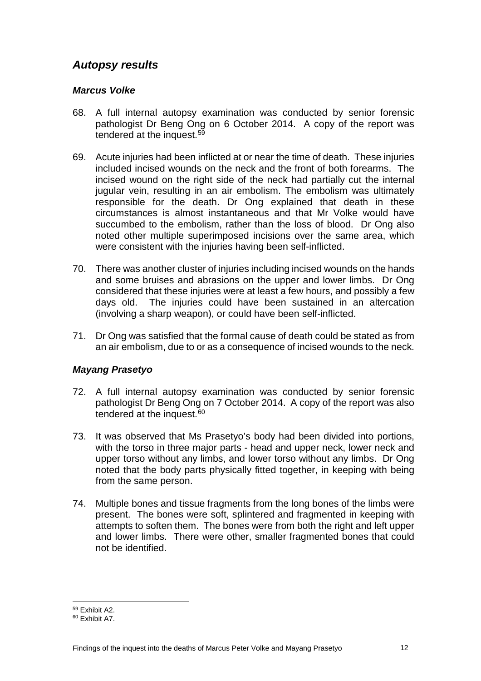### *Autopsy results*

#### *Marcus Volke*

- 68. A full internal autopsy examination was conducted by senior forensic pathologist Dr Beng Ong on 6 October 2014. A copy of the report was tendered at the inquest.[59](#page-13-0)
- 69. Acute injuries had been inflicted at or near the time of death. These injuries included incised wounds on the neck and the front of both forearms. The incised wound on the right side of the neck had partially cut the internal jugular vein, resulting in an air embolism. The embolism was ultimately responsible for the death. Dr Ong explained that death in these circumstances is almost instantaneous and that Mr Volke would have succumbed to the embolism, rather than the loss of blood. Dr Ong also noted other multiple superimposed incisions over the same area, which were consistent with the injuries having been self-inflicted.
- 70. There was another cluster of injuries including incised wounds on the hands and some bruises and abrasions on the upper and lower limbs. Dr Ong considered that these injuries were at least a few hours, and possibly a few days old. The injuries could have been sustained in an altercation (involving a sharp weapon), or could have been self-inflicted.
- 71. Dr Ong was satisfied that the formal cause of death could be stated as from an air embolism, due to or as a consequence of incised wounds to the neck.

#### *Mayang Prasetyo*

- 72. A full internal autopsy examination was conducted by senior forensic pathologist Dr Beng Ong on 7 October 2014. A copy of the report was also tendered at the inquest.<sup>[60](#page-13-1)</sup>
- 73. It was observed that Ms Prasetyo's body had been divided into portions, with the torso in three major parts - head and upper neck, lower neck and upper torso without any limbs, and lower torso without any limbs. Dr Ong noted that the body parts physically fitted together, in keeping with being from the same person.
- 74. Multiple bones and tissue fragments from the long bones of the limbs were present. The bones were soft, splintered and fragmented in keeping with attempts to soften them. The bones were from both the right and left upper and lower limbs. There were other, smaller fragmented bones that could not be identified.

<sup>59</sup> Exhibit A2.

<span id="page-13-1"></span><span id="page-13-0"></span><sup>60</sup> Exhibit A7.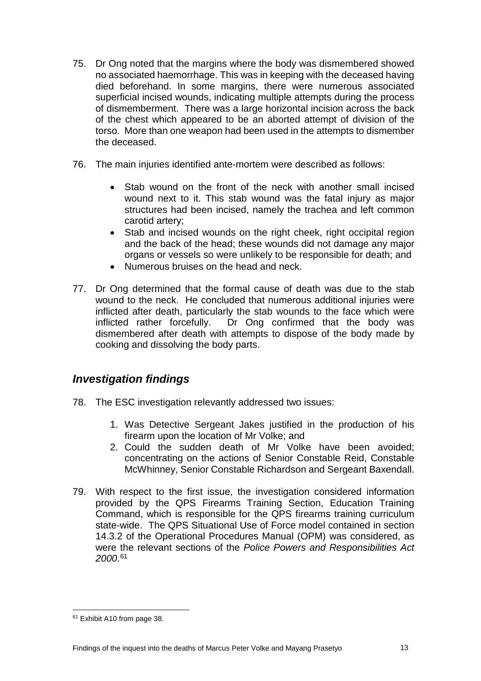- 75. Dr Ong noted that the margins where the body was dismembered showed no associated haemorrhage. This was in keeping with the deceased having died beforehand. In some margins, there were numerous associated superficial incised wounds, indicating multiple attempts during the process of dismemberment. There was a large horizontal incision across the back of the chest which appeared to be an aborted attempt of division of the torso. More than one weapon had been used in the attempts to dismember the deceased.
- 76. The main injuries identified ante-mortem were described as follows:
	- Stab wound on the front of the neck with another small incised wound next to it. This stab wound was the fatal injury as major structures had been incised, namely the trachea and left common carotid artery;
	- Stab and incised wounds on the right cheek, right occipital region and the back of the head; these wounds did not damage any major organs or vessels so were unlikely to be responsible for death; and
	- Numerous bruises on the head and neck.
- 77. Dr Ong determined that the formal cause of death was due to the stab wound to the neck. He concluded that numerous additional injuries were inflicted after death, particularly the stab wounds to the face which were inflicted rather forcefully. Dr Ong confirmed that the body was dismembered after death with attempts to dispose of the body made by cooking and dissolving the body parts.

### *Investigation findings*

- 78. The ESC investigation relevantly addressed two issues:
	- 1. Was Detective Sergeant Jakes justified in the production of his firearm upon the location of Mr Volke; and
	- 2. Could the sudden death of Mr Volke have been avoided; concentrating on the actions of Senior Constable Reid, Constable McWhinney, Senior Constable Richardson and Sergeant Baxendall.
- 79. With respect to the first issue, the investigation considered information provided by the QPS Firearms Training Section, Education Training Command, which is responsible for the QPS firearms training curriculum state-wide. The QPS Situational Use of Force model contained in section 14.3.2 of the Operational Procedures Manual (OPM) was considered, as were the relevant sections of the *Police Powers and Responsibilities Act 2000*. [61](#page-14-0)

<span id="page-14-0"></span>Exhibit A10 from page 38.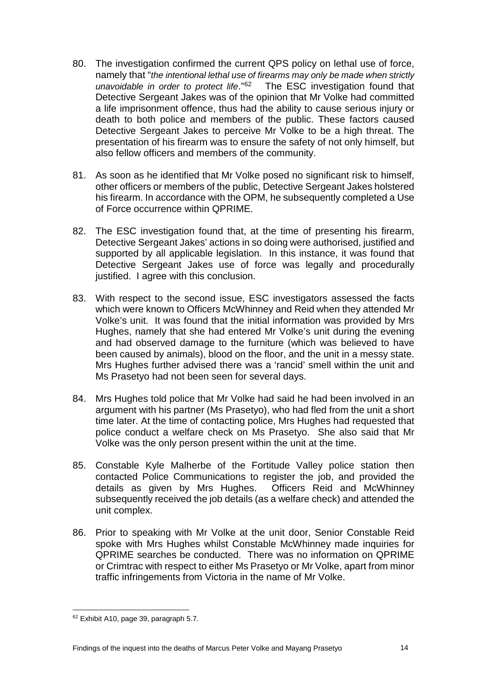- 80. The investigation confirmed the current QPS policy on lethal use of force, namely that "*the intentional lethal use of firearms may only be made when strictly unavoidable in order to protect life*.["62](#page-15-0) The ESC investigation found that Detective Sergeant Jakes was of the opinion that Mr Volke had committed a life imprisonment offence, thus had the ability to cause serious injury or death to both police and members of the public. These factors caused Detective Sergeant Jakes to perceive Mr Volke to be a high threat. The presentation of his firearm was to ensure the safety of not only himself, but also fellow officers and members of the community.
- 81. As soon as he identified that Mr Volke posed no significant risk to himself, other officers or members of the public, Detective Sergeant Jakes holstered his firearm. In accordance with the OPM, he subsequently completed a Use of Force occurrence within QPRIME.
- 82. The ESC investigation found that, at the time of presenting his firearm, Detective Sergeant Jakes' actions in so doing were authorised, justified and supported by all applicable legislation. In this instance, it was found that Detective Sergeant Jakes use of force was legally and procedurally justified. I agree with this conclusion.
- 83. With respect to the second issue, ESC investigators assessed the facts which were known to Officers McWhinney and Reid when they attended Mr Volke's unit. It was found that the initial information was provided by Mrs Hughes, namely that she had entered Mr Volke's unit during the evening and had observed damage to the furniture (which was believed to have been caused by animals), blood on the floor, and the unit in a messy state. Mrs Hughes further advised there was a 'rancid' smell within the unit and Ms Prasetyo had not been seen for several days.
- 84. Mrs Hughes told police that Mr Volke had said he had been involved in an argument with his partner (Ms Prasetyo), who had fled from the unit a short time later. At the time of contacting police, Mrs Hughes had requested that police conduct a welfare check on Ms Prasetyo. She also said that Mr Volke was the only person present within the unit at the time.
- 85. Constable Kyle Malherbe of the Fortitude Valley police station then contacted Police Communications to register the job, and provided the details as given by Mrs Hughes. Officers Reid and McWhinney subsequently received the job details (as a welfare check) and attended the unit complex.
- 86. Prior to speaking with Mr Volke at the unit door, Senior Constable Reid spoke with Mrs Hughes whilst Constable McWhinney made inquiries for QPRIME searches be conducted. There was no information on QPRIME or Crimtrac with respect to either Ms Prasetyo or Mr Volke, apart from minor traffic infringements from Victoria in the name of Mr Volke.

<span id="page-15-0"></span><sup>62</sup> Exhibit A10, page 39, paragraph 5.7.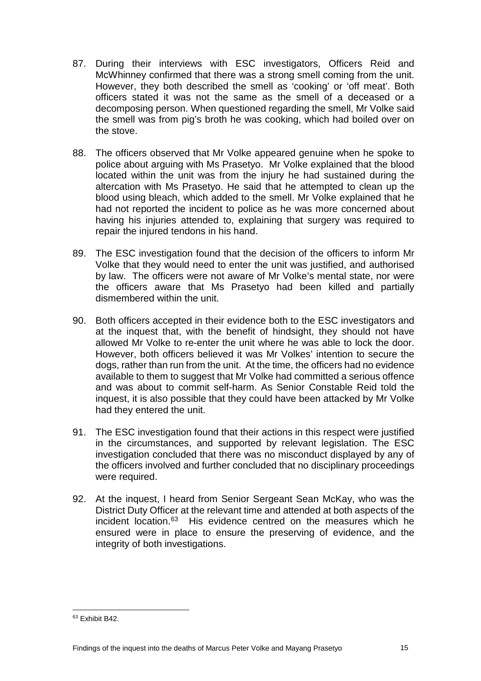- 87. During their interviews with ESC investigators, Officers Reid and McWhinney confirmed that there was a strong smell coming from the unit. However, they both described the smell as 'cooking' or 'off meat'. Both officers stated it was not the same as the smell of a deceased or a decomposing person. When questioned regarding the smell, Mr Volke said the smell was from pig's broth he was cooking, which had boiled over on the stove.
- 88. The officers observed that Mr Volke appeared genuine when he spoke to police about arguing with Ms Prasetyo. Mr Volke explained that the blood located within the unit was from the injury he had sustained during the altercation with Ms Prasetyo. He said that he attempted to clean up the blood using bleach, which added to the smell. Mr Volke explained that he had not reported the incident to police as he was more concerned about having his injuries attended to, explaining that surgery was required to repair the injured tendons in his hand.
- 89. The ESC investigation found that the decision of the officers to inform Mr Volke that they would need to enter the unit was justified, and authorised by law. The officers were not aware of Mr Volke's mental state, nor were the officers aware that Ms Prasetyo had been killed and partially dismembered within the unit.
- 90. Both officers accepted in their evidence both to the ESC investigators and at the inquest that, with the benefit of hindsight, they should not have allowed Mr Volke to re-enter the unit where he was able to lock the door. However, both officers believed it was Mr Volkes' intention to secure the dogs, rather than run from the unit. At the time, the officers had no evidence available to them to suggest that Mr Volke had committed a serious offence and was about to commit self-harm. As Senior Constable Reid told the inquest, it is also possible that they could have been attacked by Mr Volke had they entered the unit.
- 91. The ESC investigation found that their actions in this respect were justified in the circumstances, and supported by relevant legislation. The ESC investigation concluded that there was no misconduct displayed by any of the officers involved and further concluded that no disciplinary proceedings were required.
- 92. At the inquest, I heard from Senior Sergeant Sean McKay, who was the District Duty Officer at the relevant time and attended at both aspects of the incident location[.63](#page-16-0) His evidence centred on the measures which he ensured were in place to ensure the preserving of evidence, and the integrity of both investigations.

<span id="page-16-0"></span><sup>63</sup> Exhibit B42.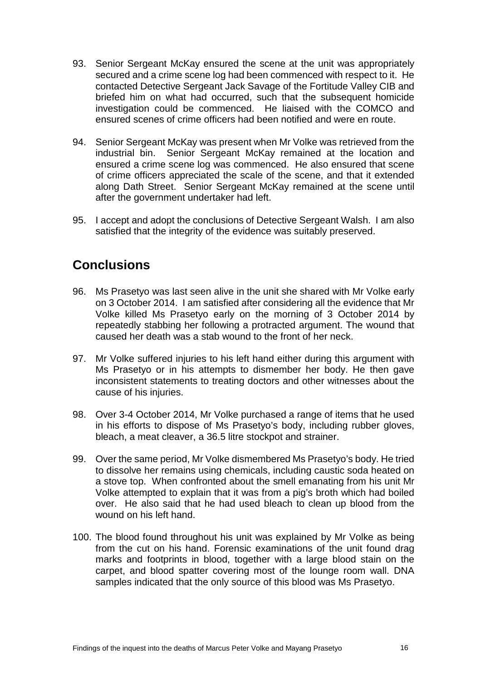- 93. Senior Sergeant McKay ensured the scene at the unit was appropriately secured and a crime scene log had been commenced with respect to it. He contacted Detective Sergeant Jack Savage of the Fortitude Valley CIB and briefed him on what had occurred, such that the subsequent homicide investigation could be commenced. He liaised with the COMCO and ensured scenes of crime officers had been notified and were en route.
- 94. Senior Sergeant McKay was present when Mr Volke was retrieved from the industrial bin. Senior Sergeant McKay remained at the location and ensured a crime scene log was commenced. He also ensured that scene of crime officers appreciated the scale of the scene, and that it extended along Dath Street. Senior Sergeant McKay remained at the scene until after the government undertaker had left.
- 95. I accept and adopt the conclusions of Detective Sergeant Walsh. I am also satisfied that the integrity of the evidence was suitably preserved.

# **Conclusions**

- 96. Ms Prasetyo was last seen alive in the unit she shared with Mr Volke early on 3 October 2014. I am satisfied after considering all the evidence that Mr Volke killed Ms Prasetyo early on the morning of 3 October 2014 by repeatedly stabbing her following a protracted argument. The wound that caused her death was a stab wound to the front of her neck.
- 97. Mr Volke suffered injuries to his left hand either during this argument with Ms Prasetyo or in his attempts to dismember her body. He then gave inconsistent statements to treating doctors and other witnesses about the cause of his injuries.
- 98. Over 3-4 October 2014, Mr Volke purchased a range of items that he used in his efforts to dispose of Ms Prasetyo's body, including rubber gloves, bleach, a meat cleaver, a 36.5 litre stockpot and strainer.
- 99. Over the same period, Mr Volke dismembered Ms Prasetyo's body. He tried to dissolve her remains using chemicals, including caustic soda heated on a stove top. When confronted about the smell emanating from his unit Mr Volke attempted to explain that it was from a pig's broth which had boiled over. He also said that he had used bleach to clean up blood from the wound on his left hand.
- 100. The blood found throughout his unit was explained by Mr Volke as being from the cut on his hand. Forensic examinations of the unit found drag marks and footprints in blood, together with a large blood stain on the carpet, and blood spatter covering most of the lounge room wall. DNA samples indicated that the only source of this blood was Ms Prasetyo.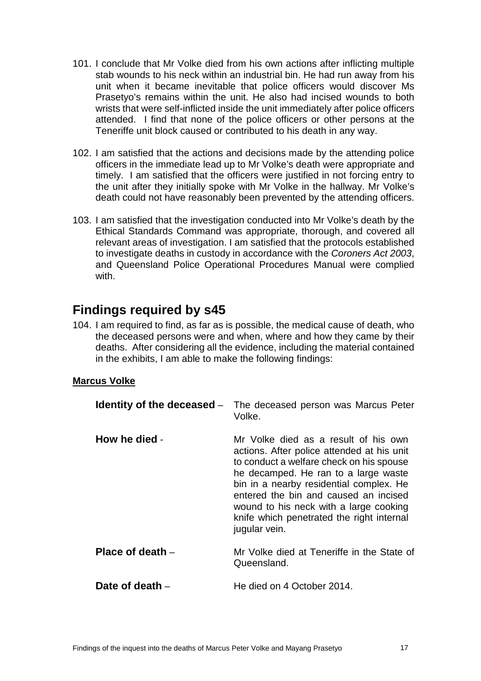- 101. I conclude that Mr Volke died from his own actions after inflicting multiple stab wounds to his neck within an industrial bin. He had run away from his unit when it became inevitable that police officers would discover Ms Prasetyo's remains within the unit. He also had incised wounds to both wrists that were self-inflicted inside the unit immediately after police officers attended. I find that none of the police officers or other persons at the Teneriffe unit block caused or contributed to his death in any way.
- 102. I am satisfied that the actions and decisions made by the attending police officers in the immediate lead up to Mr Volke's death were appropriate and timely. I am satisfied that the officers were justified in not forcing entry to the unit after they initially spoke with Mr Volke in the hallway. Mr Volke's death could not have reasonably been prevented by the attending officers.
- 103. I am satisfied that the investigation conducted into Mr Volke's death by the Ethical Standards Command was appropriate, thorough, and covered all relevant areas of investigation. I am satisfied that the protocols established to investigate deaths in custody in accordance with the *Coroners Act 2003*, and Queensland Police Operational Procedures Manual were complied with.

# **Findings required by s45**

104. I am required to find, as far as is possible, the medical cause of death, who the deceased persons were and when, where and how they came by their deaths. After considering all the evidence, including the material contained in the exhibits, I am able to make the following findings:

#### **Marcus Volke**

| Identity of the deceased $-$ | The deceased person was Marcus Peter<br>Volke.                                                                                                                                                                                                                                                                                                                     |
|------------------------------|--------------------------------------------------------------------------------------------------------------------------------------------------------------------------------------------------------------------------------------------------------------------------------------------------------------------------------------------------------------------|
| How he died -                | Mr Volke died as a result of his own<br>actions. After police attended at his unit<br>to conduct a welfare check on his spouse<br>he decamped. He ran to a large waste<br>bin in a nearby residential complex. He<br>entered the bin and caused an incised<br>wound to his neck with a large cooking<br>knife which penetrated the right internal<br>jugular vein. |
| Place of death $-$           | Mr Volke died at Teneriffe in the State of<br>Queensland.                                                                                                                                                                                                                                                                                                          |
| Date of death –              | He died on 4 October 2014.                                                                                                                                                                                                                                                                                                                                         |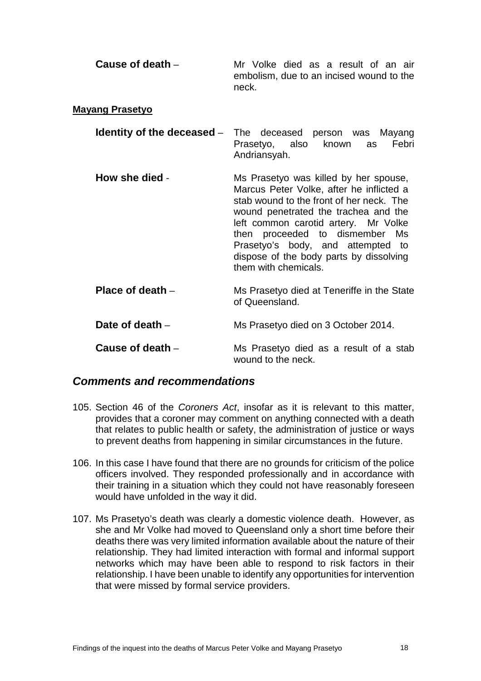| Cause of death $-$ | Mr Volke died as a result of an air               |
|--------------------|---------------------------------------------------|
|                    | embolism, due to an incised wound to the<br>neck. |

#### **Mayang Prasetyo**

| <b>Identity of the deceased</b> – The deceased person was Mayang |                               |              |  |  |
|------------------------------------------------------------------|-------------------------------|--------------|--|--|
|                                                                  | Prasetyo, also known as Febri |              |  |  |
|                                                                  |                               | Andriansyah. |  |  |

**How she died** - Ms Prasetyo was killed by her spouse, Marcus Peter Volke, after he inflicted a stab wound to the front of her neck. The wound penetrated the trachea and the left common carotid artery. Mr Volke then proceeded to dismember Ms Prasetyo's body, and attempted to dispose of the body parts by dissolving them with chemicals.

**Place of death** – Ms Prasetyo died at Teneriffe in the State of Queensland.

**Date of death** – Ms Prasetyo died on 3 October 2014.

**Cause of death** – Ms Prasetyo died as a result of a stab wound to the neck.

#### *Comments and recommendations*

- 105. Section 46 of the *Coroners Act*, insofar as it is relevant to this matter, provides that a coroner may comment on anything connected with a death that relates to public health or safety, the administration of justice or ways to prevent deaths from happening in similar circumstances in the future.
- 106. In this case I have found that there are no grounds for criticism of the police officers involved. They responded professionally and in accordance with their training in a situation which they could not have reasonably foreseen would have unfolded in the way it did.
- 107. Ms Prasetyo's death was clearly a domestic violence death. However, as she and Mr Volke had moved to Queensland only a short time before their deaths there was very limited information available about the nature of their relationship. They had limited interaction with formal and informal support networks which may have been able to respond to risk factors in their relationship. I have been unable to identify any opportunities for intervention that were missed by formal service providers.